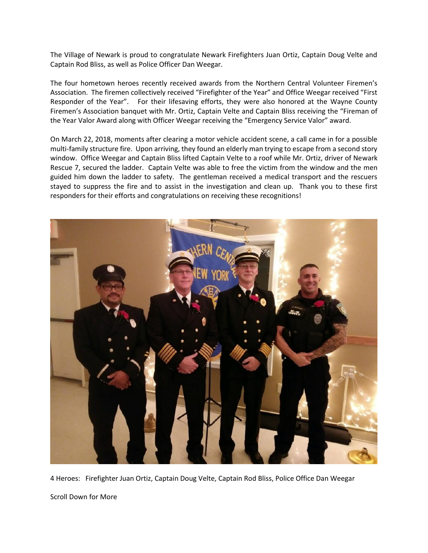The Village of Newark is proud to congratulate Newark Firefighters Juan Ortiz, Captain Doug Velte and Captain Rod Bliss, as well as Police Officer Dan Weegar.

The four hometown heroes recently received awards from the Northern Central Volunteer Firemen's Association. The firemen collectively received "Firefighter of the Year" and Office Weegar received "First Responder of the Year". For their lifesaving efforts, they were also honored at the Wayne County Firemen's Association banquet with Mr. Ortiz, Captain Velte and Captain Bliss receiving the "Fireman of the Year Valor Award along with Officer Weegar receiving the "Emergency Service Valor" award.

On March 22, 2018, moments after clearing a motor vehicle accident scene, a call came in for a possible multi-family structure fire. Upon arriving, they found an elderly man trying to escape from a second story window. Office Weegar and Captain Bliss lifted Captain Velte to a roof while Mr. Ortiz, driver of Newark Rescue 7, secured the ladder. Captain Velte was able to free the victim from the window and the men guided him down the ladder to safety. The gentleman received a medical transport and the rescuers stayed to suppress the fire and to assist in the investigation and clean up. Thank you to these first responders for their efforts and congratulations on receiving these recognitions!



4 Heroes: Firefighter Juan Ortiz, Captain Doug Velte, Captain Rod Bliss, Police Office Dan Weegar

Scroll Down for More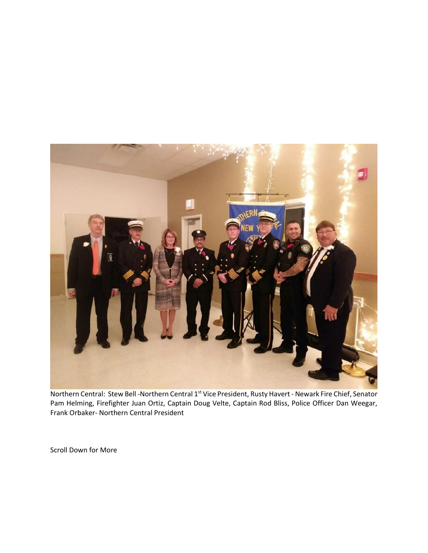

Northern Central: Stew Bell -Northern Central 1<sup>st</sup> Vice President, Rusty Havert - Newark Fire Chief, Senator Pam Helming, Firefighter Juan Ortiz, Captain Doug Velte, Captain Rod Bliss, Police Officer Dan Weegar, Frank Orbaker- Northern Central President

Scroll Down for More